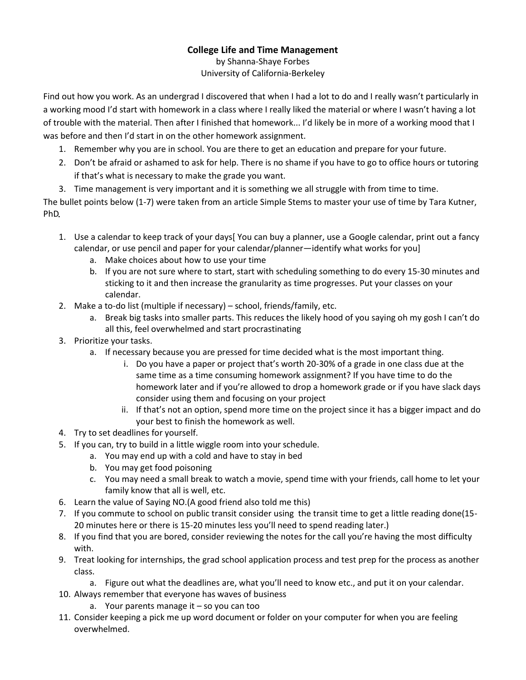## **College Life and Time Management**

by Shanna-Shaye Forbes University of California-Berkeley

Find out how you work. As an undergrad I discovered that when I had a lot to do and I really wasn't particularly in a working mood I'd start with homework in a class where I really liked the material or where I wasn't having a lot of trouble with the material. Then after I finished that homework... I'd likely be in more of a working mood that I was before and then I'd start in on the other homework assignment.

- 1. Remember why you are in school. You are there to get an education and prepare for your future.
- 2. Don't be afraid or ashamed to ask for help. There is no shame if you have to go to office hours or tutoring if that's what is necessary to make the grade you want.
- 3. Time management is very important and it is something we all struggle with from time to time.

The bullet points below (1-7) were taken from an article Simple Stems to master your use of time by Tara Kutner, PhD

- 1. Use a calendar to keep track of your days[ You can buy a planner, use a Google calendar, print out a fancy calendar, or use pencil and paper for your calendar/planner—identify what works for you]
	- a. Make choices about how to use your time
	- b. If you are not sure where to start, start with scheduling something to do every 15-30 minutes and sticking to it and then increase the granularity as time progresses. Put your classes on your calendar.
- 2. Make a to-do list (multiple if necessary) school, friends/family, etc.
	- a. Break big tasks into smaller parts. This reduces the likely hood of you saying oh my gosh I can't do all this, feel overwhelmed and start procrastinating
- 3. Prioritize your tasks.
	- a. If necessary because you are pressed for time decided what is the most important thing.
		- i. Do you have a paper or project that's worth 20-30% of a grade in one class due at the same time as a time consuming homework assignment? If you have time to do the homework later and if you're allowed to drop a homework grade or if you have slack days consider using them and focusing on your project
		- ii. If that's not an option, spend more time on the project since it has a bigger impact and do your best to finish the homework as well.
- 4. Try to set deadlines for yourself.
- 5. If you can, try to build in a little wiggle room into your schedule.
	- a. You may end up with a cold and have to stay in bed
	- b. You may get food poisoning
	- c. You may need a small break to watch a movie, spend time with your friends, call home to let your family know that all is well, etc.
- 6. Learn the value of Saying NO.(A good friend also told me this)
- 7. If you commute to school on public transit consider using the transit time to get a little reading done(15- 20 minutes here or there is 15-20 minutes less you'll need to spend reading later.)
- 8. If you find that you are bored, consider reviewing the notes for the call you're having the most difficulty with.
- 9. Treat looking for internships, the grad school application process and test prep for the process as another class.
	- a. Figure out what the deadlines are, what you'll need to know etc., and put it on your calendar.
- 10. Always remember that everyone has waves of business
	- a. Your parents manage it  $-$  so you can too
- 11. Consider keeping a pick me up word document or folder on your computer for when you are feeling overwhelmed.